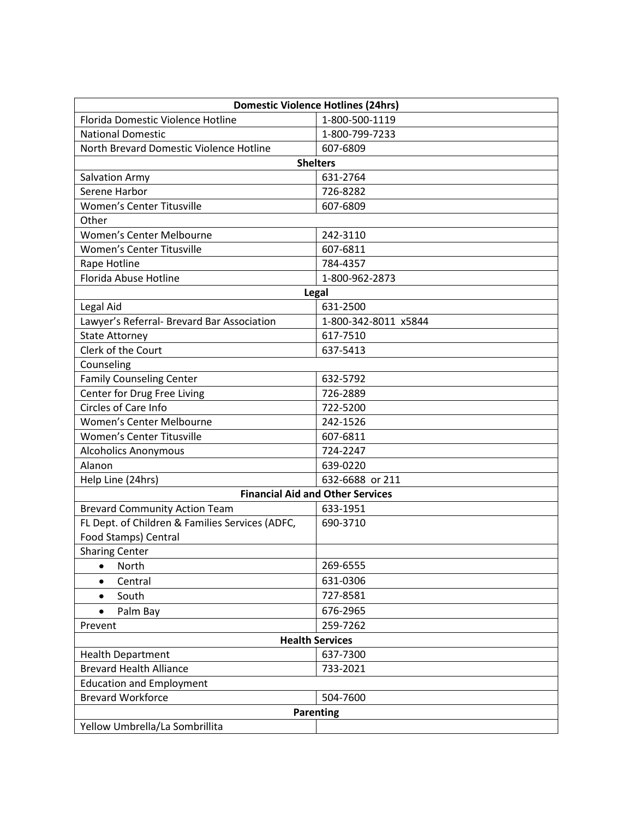| <b>Domestic Violence Hotlines (24hrs)</b>       |                      |  |
|-------------------------------------------------|----------------------|--|
| Florida Domestic Violence Hotline               | 1-800-500-1119       |  |
| <b>National Domestic</b>                        | 1-800-799-7233       |  |
| North Brevard Domestic Violence Hotline         | 607-6809             |  |
| <b>Shelters</b>                                 |                      |  |
| Salvation Army                                  | 631-2764             |  |
| Serene Harbor                                   | 726-8282             |  |
| Women's Center Titusville                       | 607-6809             |  |
| Other                                           |                      |  |
| Women's Center Melbourne                        | 242-3110             |  |
| Women's Center Titusville                       | 607-6811             |  |
| Rape Hotline                                    | 784-4357             |  |
| Florida Abuse Hotline                           | 1-800-962-2873       |  |
| Legal                                           |                      |  |
| Legal Aid                                       | 631-2500             |  |
| Lawyer's Referral- Brevard Bar Association      | 1-800-342-8011 x5844 |  |
| <b>State Attorney</b>                           | 617-7510             |  |
| Clerk of the Court                              | 637-5413             |  |
| Counseling                                      |                      |  |
| <b>Family Counseling Center</b>                 | 632-5792             |  |
| Center for Drug Free Living                     | 726-2889             |  |
| <b>Circles of Care Info</b>                     | 722-5200             |  |
| Women's Center Melbourne                        | 242-1526             |  |
| Women's Center Titusville                       | 607-6811             |  |
| <b>Alcoholics Anonymous</b>                     | 724-2247             |  |
| Alanon                                          | 639-0220             |  |
| Help Line (24hrs)                               | 632-6688 or 211      |  |
| <b>Financial Aid and Other Services</b>         |                      |  |
| <b>Brevard Community Action Team</b>            | 633-1951             |  |
| FL Dept. of Children & Families Services (ADFC, | 690-3710             |  |
| Food Stamps) Central                            |                      |  |
| <b>Sharing Center</b>                           |                      |  |
| North<br>$\bullet$                              | 269-6555             |  |
| Central                                         | 631-0306             |  |
| South<br>$\bullet$                              | 727-8581             |  |
| Palm Bay<br>$\bullet$                           | 676-2965             |  |
| Prevent                                         | 259-7262             |  |
| <b>Health Services</b>                          |                      |  |
| <b>Health Department</b>                        | 637-7300             |  |
| <b>Brevard Health Alliance</b>                  | 733-2021             |  |
| <b>Education and Employment</b>                 |                      |  |
| <b>Brevard Workforce</b>                        | 504-7600             |  |
| <b>Parenting</b>                                |                      |  |
| Yellow Umbrella/La Sombrillita                  |                      |  |